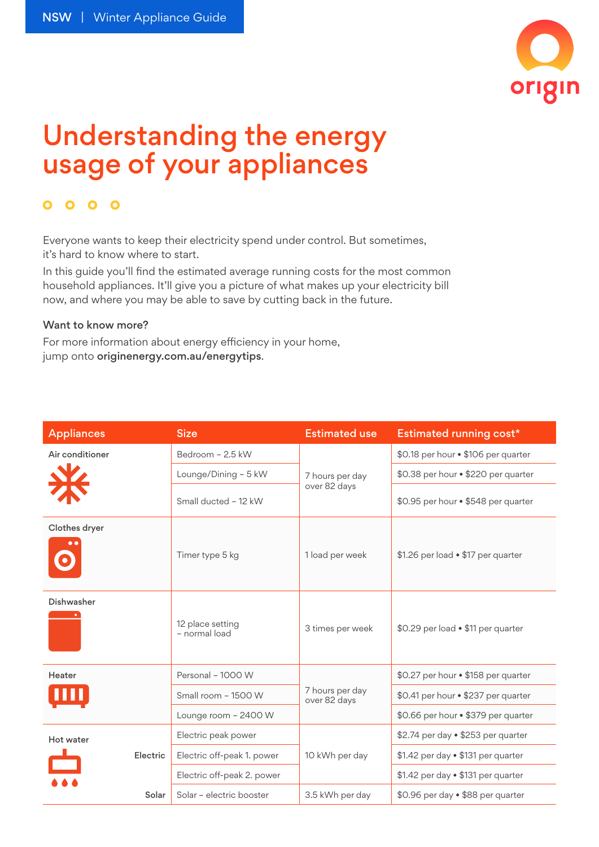

## Understanding the energy usage of your appliances

## $0000$

Everyone wants to keep their electricity spend under control. But sometimes, it's hard to know where to start.

In this guide you'll find the estimated average running costs for the most common household appliances. It'll give you a picture of what makes up your electricity bill now, and where you may be able to save by cutting back in the future.

## Want to know more?

For more information about energy efficiency in your home, jump onto [originenergy.com.au/energytips](http://www.originenergy.com.au/energytips).

| <b>Appliances</b>           | <b>Size</b>                       | <b>Estimated use</b>            | Estimated running cost*             |
|-----------------------------|-----------------------------------|---------------------------------|-------------------------------------|
| Air conditioner<br><b>X</b> | Bedroom - 2.5 kW                  | 7 hours per day<br>over 82 days | \$0.18 per hour . \$106 per quarter |
|                             | Lounge/Dining - 5 kW              |                                 | \$0.38 per hour . \$220 per quarter |
|                             | Small ducted - 12 kW              |                                 | \$0.95 per hour . \$548 per quarter |
| Clothes dryer               | Timer type 5 kg                   | 1 load per week                 | \$1.26 per load • \$17 per quarter  |
| Dishwasher                  | 12 place setting<br>- normal load | 3 times per week                | \$0.29 per load . \$11 per quarter  |
| Heater                      | Personal - 1000 W                 | 7 hours per day<br>over 82 days | \$0.27 per hour . \$158 per quarter |
|                             | Small room - 1500 W               |                                 | \$0.41 per hour . \$237 per quarter |
|                             | Lounge room - 2400 W              |                                 | \$0.66 per hour . \$379 per quarter |
| Hot water<br>Electric       | Electric peak power               | 10 kWh per day                  | \$2.74 per day . \$253 per quarter  |
|                             | Electric off-peak 1. power        |                                 | \$1.42 per day . \$131 per quarter  |
|                             | Electric off-peak 2. power        |                                 | \$1.42 per day . \$131 per quarter  |
| Solar                       | Solar - electric booster          | 3.5 kWh per day                 | \$0.96 per day . \$88 per quarter   |